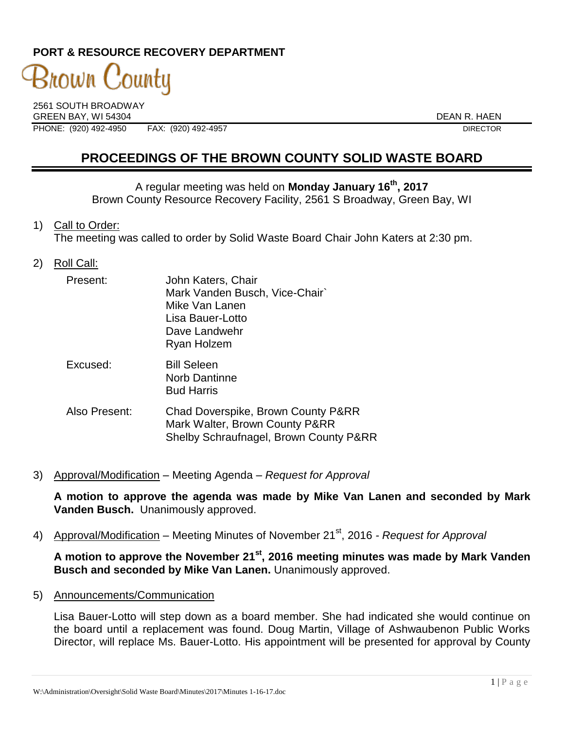# **PORT & RESOURCE RECOVERY DEPARTMENT**

# 3nown C ¦ounty

2561 SOUTH BROADWAY GREEN BAY. WI 54304 DEAN R. HAEN PHONE: (920) 492-4950 FAX: (920) 492-4957 DIRECTOR

# **PROCEEDINGS OF THE BROWN COUNTY SOLID WASTE BOARD**

A regular meeting was held on **Monday January 16th , 2017** Brown County Resource Recovery Facility, 2561 S Broadway, Green Bay, WI

1) Call to Order:

The meeting was called to order by Solid Waste Board Chair John Katers at 2:30 pm.

2) Roll Call:

| Present:      | John Katers, Chair<br>Mark Vanden Busch, Vice-Chair`<br>Mike Van Lanen<br>Lisa Bauer-Lotto<br>Dave Landwehr<br>Ryan Holzem |
|---------------|----------------------------------------------------------------------------------------------------------------------------|
| Excused:      | <b>Bill Seleen</b><br>Norb Dantinne<br><b>Bud Harris</b>                                                                   |
| Also Present: | Chad Doverspike, Brown County P&RR<br>Mark Walter, Brown County P&RR<br>Shelby Schraufnagel, Brown County P&RR             |

3) Approval/Modification – Meeting Agenda – *Request for Approval*

**A motion to approve the agenda was made by Mike Van Lanen and seconded by Mark Vanden Busch.** Unanimously approved.

4) Approval/Modification – Meeting Minutes of November 21<sup>st</sup>, 2016 *- Request for Approval* 

**A motion to approve the November 21st , 2016 meeting minutes was made by Mark Vanden Busch and seconded by Mike Van Lanen.** Unanimously approved.

5) Announcements/Communication

Lisa Bauer-Lotto will step down as a board member. She had indicated she would continue on the board until a replacement was found. Doug Martin, Village of Ashwaubenon Public Works Director, will replace Ms. Bauer-Lotto. His appointment will be presented for approval by County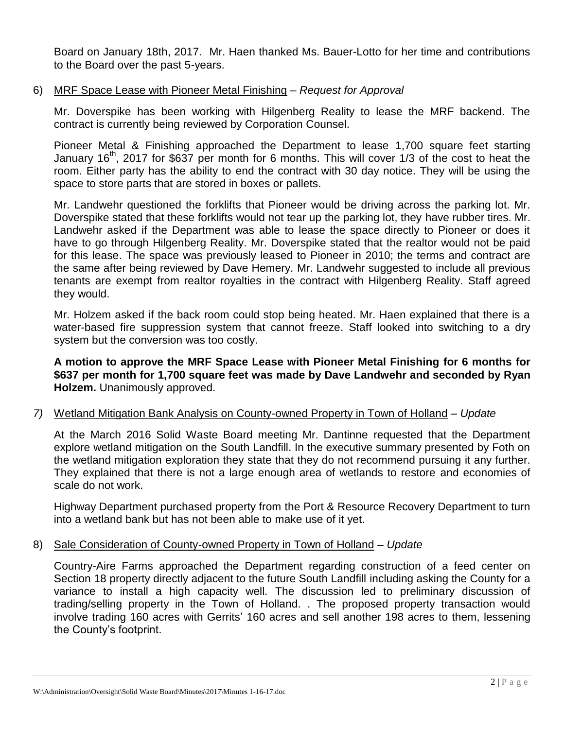Board on January 18th, 2017. Mr. Haen thanked Ms. Bauer-Lotto for her time and contributions to the Board over the past 5-years.

### 6) MRF Space Lease with Pioneer Metal Finishing – *Request for Approval*

Mr. Doverspike has been working with Hilgenberg Reality to lease the MRF backend. The contract is currently being reviewed by Corporation Counsel.

Pioneer Metal & Finishing approached the Department to lease 1,700 square feet starting January 16<sup>th</sup>, 2017 for \$637 per month for 6 months. This will cover 1/3 of the cost to heat the room. Either party has the ability to end the contract with 30 day notice. They will be using the space to store parts that are stored in boxes or pallets.

Mr. Landwehr questioned the forklifts that Pioneer would be driving across the parking lot. Mr. Doverspike stated that these forklifts would not tear up the parking lot, they have rubber tires. Mr. Landwehr asked if the Department was able to lease the space directly to Pioneer or does it have to go through Hilgenberg Reality. Mr. Doverspike stated that the realtor would not be paid for this lease. The space was previously leased to Pioneer in 2010; the terms and contract are the same after being reviewed by Dave Hemery. Mr. Landwehr suggested to include all previous tenants are exempt from realtor royalties in the contract with Hilgenberg Reality. Staff agreed they would.

Mr. Holzem asked if the back room could stop being heated. Mr. Haen explained that there is a water-based fire suppression system that cannot freeze. Staff looked into switching to a dry system but the conversion was too costly.

**A motion to approve the MRF Space Lease with Pioneer Metal Finishing for 6 months for \$637 per month for 1,700 square feet was made by Dave Landwehr and seconded by Ryan Holzem.** Unanimously approved.

## *7)* Wetland Mitigation Bank Analysis on County-owned Property in Town of Holland – *Update*

At the March 2016 Solid Waste Board meeting Mr. Dantinne requested that the Department explore wetland mitigation on the South Landfill. In the executive summary presented by Foth on the wetland mitigation exploration they state that they do not recommend pursuing it any further. They explained that there is not a large enough area of wetlands to restore and economies of scale do not work.

Highway Department purchased property from the Port & Resource Recovery Department to turn into a wetland bank but has not been able to make use of it yet.

#### 8) Sale Consideration of County-owned Property in Town of Holland – *Update*

Country-Aire Farms approached the Department regarding construction of a feed center on Section 18 property directly adjacent to the future South Landfill including asking the County for a variance to install a high capacity well. The discussion led to preliminary discussion of trading/selling property in the Town of Holland. . The proposed property transaction would involve trading 160 acres with Gerrits' 160 acres and sell another 198 acres to them, lessening the County's footprint.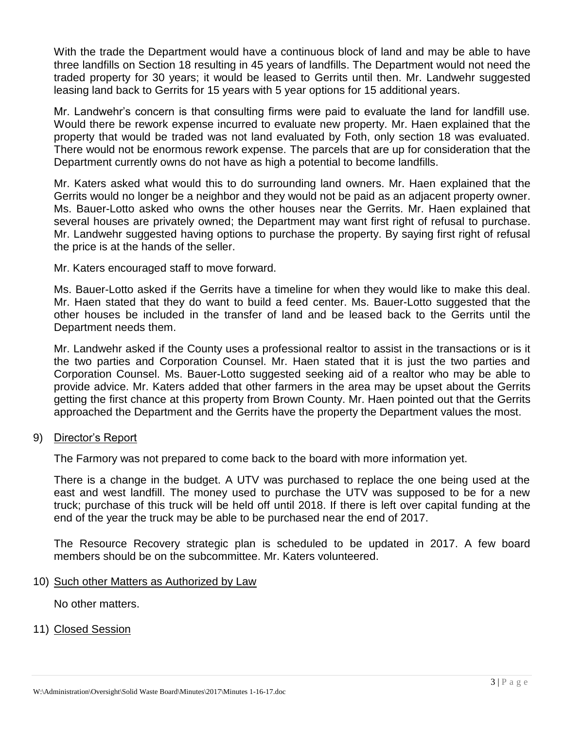With the trade the Department would have a continuous block of land and may be able to have three landfills on Section 18 resulting in 45 years of landfills. The Department would not need the traded property for 30 years; it would be leased to Gerrits until then. Mr. Landwehr suggested leasing land back to Gerrits for 15 years with 5 year options for 15 additional years.

Mr. Landwehr's concern is that consulting firms were paid to evaluate the land for landfill use. Would there be rework expense incurred to evaluate new property. Mr. Haen explained that the property that would be traded was not land evaluated by Foth, only section 18 was evaluated. There would not be enormous rework expense. The parcels that are up for consideration that the Department currently owns do not have as high a potential to become landfills.

Mr. Katers asked what would this to do surrounding land owners. Mr. Haen explained that the Gerrits would no longer be a neighbor and they would not be paid as an adjacent property owner. Ms. Bauer-Lotto asked who owns the other houses near the Gerrits. Mr. Haen explained that several houses are privately owned; the Department may want first right of refusal to purchase. Mr. Landwehr suggested having options to purchase the property. By saying first right of refusal the price is at the hands of the seller.

Mr. Katers encouraged staff to move forward.

Ms. Bauer-Lotto asked if the Gerrits have a timeline for when they would like to make this deal. Mr. Haen stated that they do want to build a feed center. Ms. Bauer-Lotto suggested that the other houses be included in the transfer of land and be leased back to the Gerrits until the Department needs them.

Mr. Landwehr asked if the County uses a professional realtor to assist in the transactions or is it the two parties and Corporation Counsel. Mr. Haen stated that it is just the two parties and Corporation Counsel. Ms. Bauer-Lotto suggested seeking aid of a realtor who may be able to provide advice. Mr. Katers added that other farmers in the area may be upset about the Gerrits getting the first chance at this property from Brown County. Mr. Haen pointed out that the Gerrits approached the Department and the Gerrits have the property the Department values the most.

#### 9) Director's Report

The Farmory was not prepared to come back to the board with more information yet.

There is a change in the budget. A UTV was purchased to replace the one being used at the east and west landfill. The money used to purchase the UTV was supposed to be for a new truck; purchase of this truck will be held off until 2018. If there is left over capital funding at the end of the year the truck may be able to be purchased near the end of 2017.

The Resource Recovery strategic plan is scheduled to be updated in 2017. A few board members should be on the subcommittee. Mr. Katers volunteered.

#### 10) Such other Matters as Authorized by Law

No other matters.

11) Closed Session